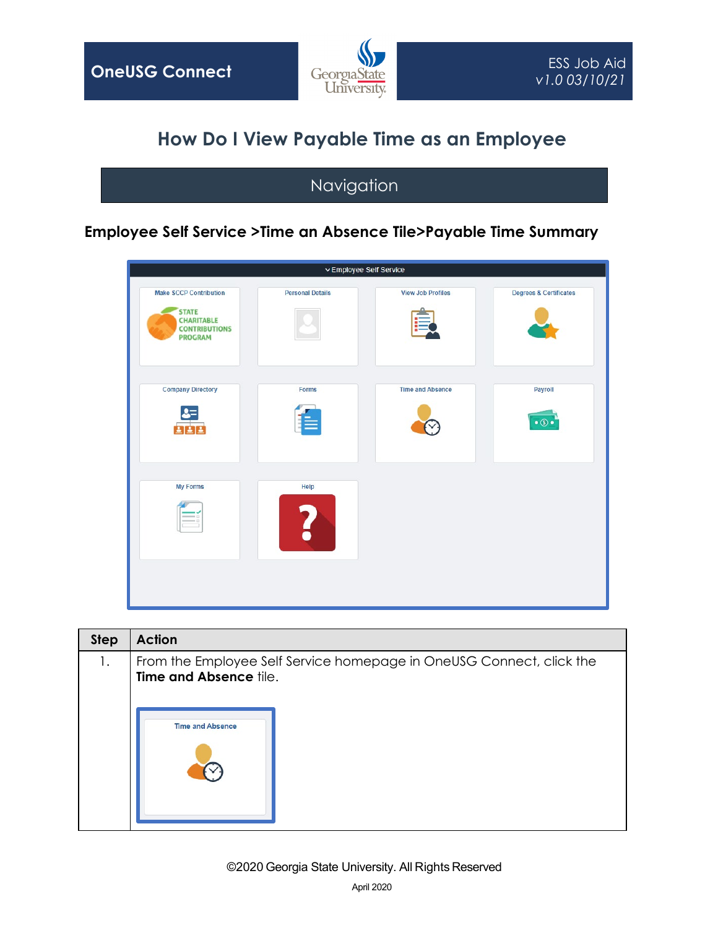

## **How Do I View Payable Time as an Employee**

## Navigation

## **Employee Self Service >Time an Absence Tile>Payable Time Summary**



| From the Employee Self Service homepage in OneUSG Connect, click the<br>1.<br><b>Time and Absence tile.</b><br><b>Time and Absence</b> |
|----------------------------------------------------------------------------------------------------------------------------------------|
|                                                                                                                                        |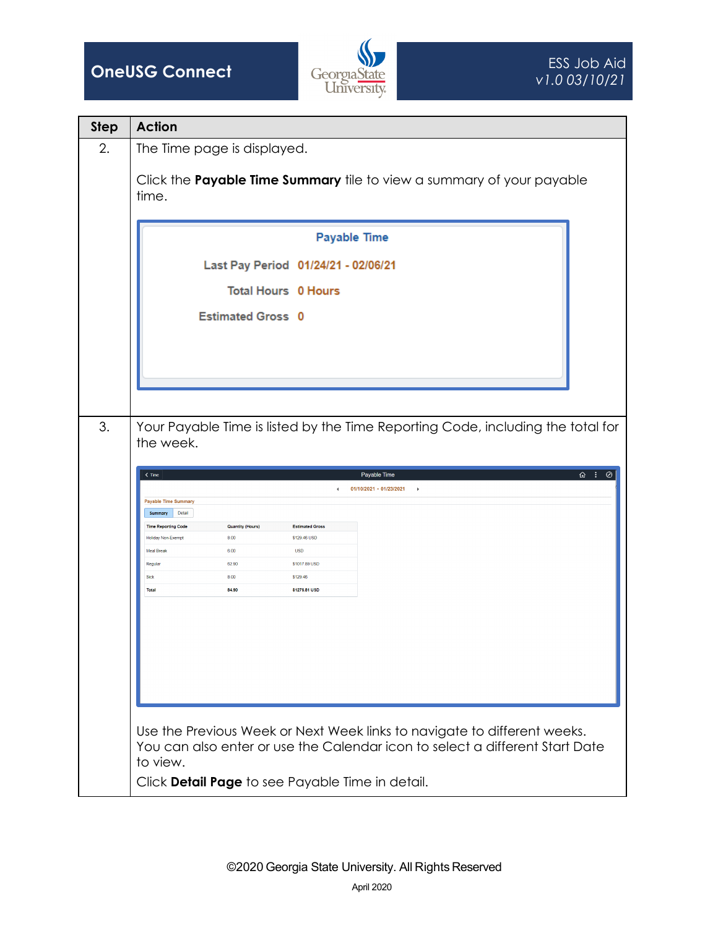



| <b>Step</b> | <b>Action</b>                                                                                |                            |                        |                                                                                                                                                          |  |  |  |  |
|-------------|----------------------------------------------------------------------------------------------|----------------------------|------------------------|----------------------------------------------------------------------------------------------------------------------------------------------------------|--|--|--|--|
| 2.          | The Time page is displayed.                                                                  |                            |                        |                                                                                                                                                          |  |  |  |  |
|             | Click the Payable Time Summary tile to view a summary of your payable<br>time.               |                            |                        |                                                                                                                                                          |  |  |  |  |
|             | <b>Payable Time</b>                                                                          |                            |                        |                                                                                                                                                          |  |  |  |  |
|             | Last Pay Period 01/24/21 - 02/06/21                                                          |                            |                        |                                                                                                                                                          |  |  |  |  |
|             |                                                                                              | <b>Total Hours 0 Hours</b> |                        |                                                                                                                                                          |  |  |  |  |
|             |                                                                                              | <b>Estimated Gross 0</b>   |                        |                                                                                                                                                          |  |  |  |  |
| 3.          | Your Payable Time is listed by the Time Reporting Code, including the total for<br>the week. |                            |                        |                                                                                                                                                          |  |  |  |  |
|             | $\overline{\omega}$ :<br>Payable Time<br>$\leq$ Time<br>⊘<br>01/10/2021 - 01/23/2021<br>×    |                            |                        |                                                                                                                                                          |  |  |  |  |
|             | <b>Payable Time Summary</b><br>Detail<br>Summary                                             |                            |                        |                                                                                                                                                          |  |  |  |  |
|             | <b>Time Reporting Code</b>                                                                   | <b>Quantity (Hours)</b>    | <b>Estimated Gross</b> |                                                                                                                                                          |  |  |  |  |
|             | <b>Holiday Non-Exempt</b>                                                                    | 8.00                       | \$129.46 USD           |                                                                                                                                                          |  |  |  |  |
|             | <b>Meal Break</b>                                                                            | 6.00                       | <b>USD</b>             |                                                                                                                                                          |  |  |  |  |
|             | Regular                                                                                      | 62.90                      | \$1017.89 USD          |                                                                                                                                                          |  |  |  |  |
|             | Sick                                                                                         | 8.00                       | \$129.46               |                                                                                                                                                          |  |  |  |  |
|             | <b>Total</b>                                                                                 | 84.90                      | \$1276.81 USD          |                                                                                                                                                          |  |  |  |  |
|             |                                                                                              |                            |                        |                                                                                                                                                          |  |  |  |  |
|             |                                                                                              |                            |                        | Use the Previous Week or Next Week links to navigate to different weeks.<br>You can also enter or use the Calendar icon to select a different Start Date |  |  |  |  |